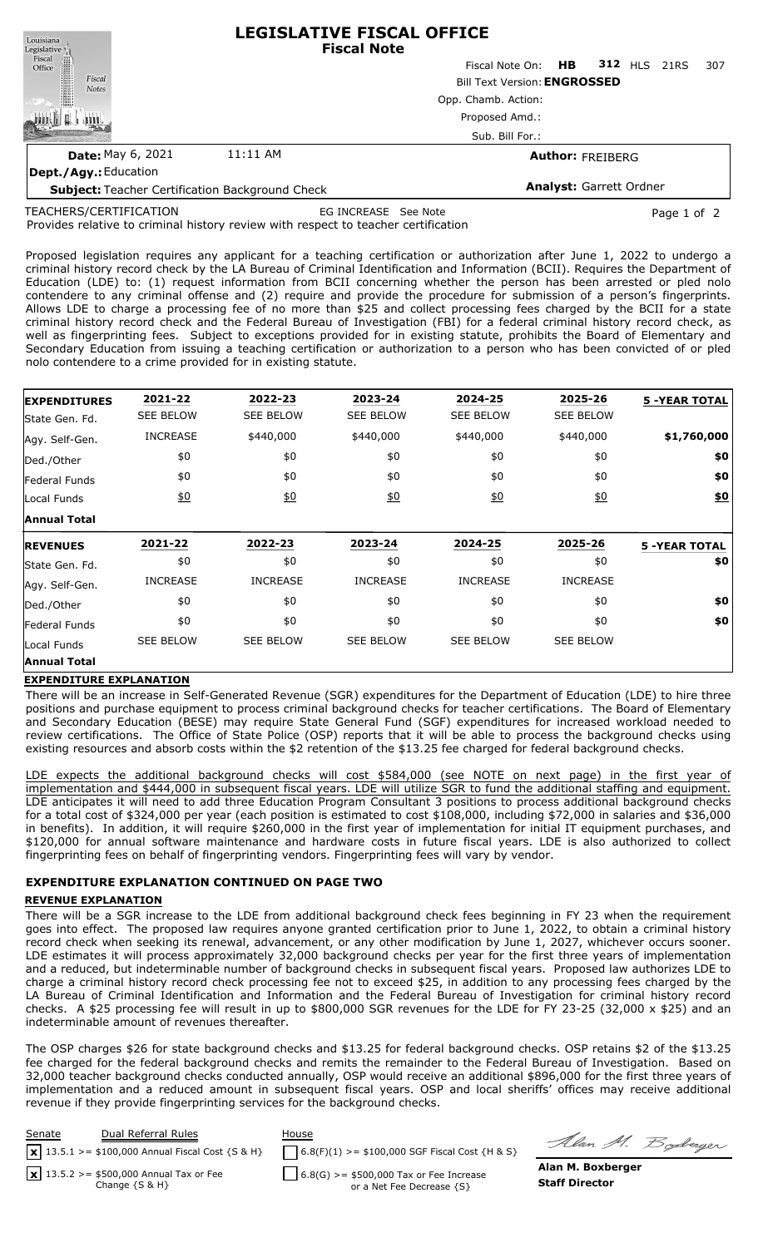| Louisiana                                              | <b>LEGISLATIVE FISCAL OFFICE</b><br><b>Fiscal Note</b> |                                 |  |  |  |     |  |  |  |
|--------------------------------------------------------|--------------------------------------------------------|---------------------------------|--|--|--|-----|--|--|--|
| Legislative<br>Fiscal<br>Office                        |                                                        | Fiscal Note On: HB 312 HLS 21RS |  |  |  | 307 |  |  |  |
| Fiscal<br><b>Notes</b>                                 | <b>Bill Text Version: ENGROSSED</b>                    |                                 |  |  |  |     |  |  |  |
|                                                        |                                                        | Opp. Chamb. Action:             |  |  |  |     |  |  |  |
|                                                        | Proposed Amd.:<br>Sub. Bill For.:                      |                                 |  |  |  |     |  |  |  |
|                                                        |                                                        |                                 |  |  |  |     |  |  |  |
| <b>Date: May 6, 2021</b>                               | 11:11 AM                                               | <b>Author: FREIBERG</b>         |  |  |  |     |  |  |  |
| Dept./Agy.: Education                                  |                                                        |                                 |  |  |  |     |  |  |  |
| <b>Subject: Teacher Certification Background Check</b> | <b>Analyst: Garrett Ordner</b>                         |                                 |  |  |  |     |  |  |  |

TEACHERS/CERTIFICATION

EG INCREASE See Note **Page 1 of 2** 

Provides relative to criminal history review with respect to teacher certification

Proposed legislation requires any applicant for a teaching certification or authorization after June 1, 2022 to undergo a criminal history record check by the LA Bureau of Criminal Identification and Information (BCII). Requires the Department of Education (LDE) to: (1) request information from BCII concerning whether the person has been arrested or pled nolo contendere to any criminal offense and (2) require and provide the procedure for submission of a person's fingerprints. Allows LDE to charge a processing fee of no more than \$25 and collect processing fees charged by the BCII for a state criminal history record check and the Federal Bureau of Investigation (FBI) for a federal criminal history record check, as well as fingerprinting fees. Subject to exceptions provided for in existing statute, prohibits the Board of Elementary and Secondary Education from issuing a teaching certification or authorization to a person who has been convicted of or pled nolo contendere to a crime provided for in existing statute.

| <b>EXPENDITURES</b>                 | 2021-22          | 2022-23          | 2023-24          | 2024-25          | 2025-26          | <b>5 -YEAR TOTAL</b> |
|-------------------------------------|------------------|------------------|------------------|------------------|------------------|----------------------|
| State Gen. Fd.                      | <b>SEE BELOW</b> | <b>SEE BELOW</b> | <b>SEE BELOW</b> | <b>SEE BELOW</b> | <b>SEE BELOW</b> |                      |
| Agy. Self-Gen.                      | <b>INCREASE</b>  | \$440,000        | \$440,000        | \$440,000        | \$440,000        | \$1,760,000          |
| Ded./Other                          | \$0              | \$0              | \$0              | \$0              | \$0              | \$0                  |
| <b>Federal Funds</b>                | \$0              | \$0              | \$0              | \$0              | \$0              | \$0                  |
| Local Funds                         | 60               | 60               | 60               | 60               | 60               | $\underline{\$0}$    |
| <b>Annual Total</b>                 |                  |                  |                  |                  |                  |                      |
|                                     |                  |                  | 2023-24          | 2024-25          | 2025-26          | <b>5 -YEAR TOTAL</b> |
| <b>REVENUES</b>                     | 2021-22          | 2022-23          |                  |                  |                  |                      |
| State Gen. Fd.                      | \$0              | \$0              | \$0              | \$0              | \$0              | \$0                  |
|                                     | <b>INCREASE</b>  | <b>INCREASE</b>  | <b>INCREASE</b>  | <b>INCREASE</b>  | <b>INCREASE</b>  |                      |
| Agy. Self-Gen.<br>Ded./Other        | \$0              | \$0              | \$0              | \$0              | \$0              | \$0                  |
|                                     | \$0              | \$0              | \$0              | \$0              | \$0              | \$0                  |
| <b>Federal Funds</b><br>Local Funds | <b>SEE BELOW</b> | <b>SEE BELOW</b> | <b>SEE BELOW</b> | <b>SEE BELOW</b> | <b>SEE BELOW</b> |                      |

#### **EXPENDITURE EXPLANATION**

There will be an increase in Self-Generated Revenue (SGR) expenditures for the Department of Education (LDE) to hire three positions and purchase equipment to process criminal background checks for teacher certifications. The Board of Elementary and Secondary Education (BESE) may require State General Fund (SGF) expenditures for increased workload needed to review certifications. The Office of State Police (OSP) reports that it will be able to process the background checks using existing resources and absorb costs within the \$2 retention of the \$13.25 fee charged for federal background checks.

LDE expects the additional background checks will cost \$584,000 (see NOTE on next page) in the first year of implementation and \$444,000 in subsequent fiscal years. LDE will utilize SGR to fund the additional staffing and equipment. LDE anticipates it will need to add three Education Program Consultant 3 positions to process additional background checks for a total cost of \$324,000 per year (each position is estimated to cost \$108,000, including \$72,000 in salaries and \$36,000 in benefits). In addition, it will require \$260,000 in the first year of implementation for initial IT equipment purchases, and \$120,000 for annual software maintenance and hardware costs in future fiscal years. LDE is also authorized to collect fingerprinting fees on behalf of fingerprinting vendors. Fingerprinting fees will vary by vendor.

### **EXPENDITURE EXPLANATION CONTINUED ON PAGE TWO**

#### **REVENUE EXPLANATION**

There will be a SGR increase to the LDE from additional background check fees beginning in FY 23 when the requirement goes into effect. The proposed law requires anyone granted certification prior to June 1, 2022, to obtain a criminal history record check when seeking its renewal, advancement, or any other modification by June 1, 2027, whichever occurs sooner. LDE estimates it will process approximately 32,000 background checks per year for the first three years of implementation and a reduced, but indeterminable number of background checks in subsequent fiscal years. Proposed law authorizes LDE to charge a criminal history record check processing fee not to exceed \$25, in addition to any processing fees charged by the LA Bureau of Criminal Identification and Information and the Federal Bureau of Investigation for criminal history record checks. A \$25 processing fee will result in up to \$800,000 SGR revenues for the LDE for FY 23-25 (32,000 x \$25) and an indeterminable amount of revenues thereafter.

The OSP charges \$26 for state background checks and \$13.25 for federal background checks. OSP retains \$2 of the \$13.25 fee charged for the federal background checks and remits the remainder to the Federal Bureau of Investigation. Based on 32,000 teacher background checks conducted annually, OSP would receive an additional \$896,000 for the first three years of implementation and a reduced amount in subsequent fiscal years. OSP and local sheriffs' offices may receive additional revenue if they provide fingerprinting services for the background checks.



Alan M. Boderger

**Alan M. Boxberger Staff Director**